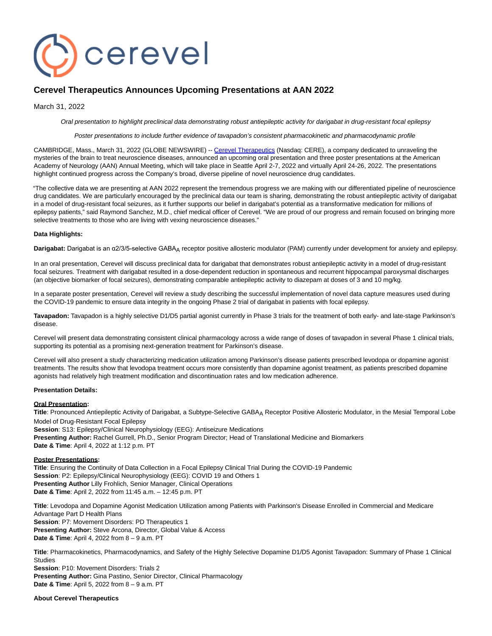

# **Cerevel Therapeutics Announces Upcoming Presentations at AAN 2022**

March 31, 2022

Oral presentation to highlight preclinical data demonstrating robust antiepileptic activity for darigabat in drug-resistant focal epilepsy

Poster presentations to include further evidence of tavapadon's consistent pharmacokinetic and pharmacodynamic profile

CAMBRIDGE, Mass., March 31, 2022 (GLOBE NEWSWIRE) -[- Cerevel Therapeutics \(](https://www.globenewswire.com/Tracker?data=RGt6_SAUkV300b6bMC2cJk9M8uGx-1p2ya_WzSacF-8oAhL83ijnIQcJ4rSIQJVi2WzPG9QRn55c79cIffC7ibcC_C4kHCWzZ7tWYAW7QLQ=)Nasdaq: CERE), a company dedicated to unraveling the mysteries of the brain to treat neuroscience diseases, announced an upcoming oral presentation and three poster presentations at the American Academy of Neurology (AAN) Annual Meeting, which will take place in Seattle April 2-7, 2022 and virtually April 24-26, 2022. The presentations highlight continued progress across the Company's broad, diverse pipeline of novel neuroscience drug candidates.

"The collective data we are presenting at AAN 2022 represent the tremendous progress we are making with our differentiated pipeline of neuroscience drug candidates. We are particularly encouraged by the preclinical data our team is sharing, demonstrating the robust antiepileptic activity of darigabat in a model of drug-resistant focal seizures, as it further supports our belief in darigabat's potential as a transformative medication for millions of epilepsy patients," said Raymond Sanchez, M.D., chief medical officer of Cerevel. "We are proud of our progress and remain focused on bringing more selective treatments to those who are living with vexing neuroscience diseases."

### **Data Highlights:**

Darigabat: Darigabat is an α2/3/5-selective GABA<sub>A</sub> receptor positive allosteric modulator (PAM) currently under development for anxiety and epilepsy.

In an oral presentation, Cerevel will discuss preclinical data for darigabat that demonstrates robust antiepileptic activity in a model of drug-resistant focal seizures. Treatment with darigabat resulted in a dose-dependent reduction in spontaneous and recurrent hippocampal paroxysmal discharges (an objective biomarker of focal seizures), demonstrating comparable antiepileptic activity to diazepam at doses of 3 and 10 mg/kg.

In a separate poster presentation, Cerevel will review a study describing the successful implementation of novel data capture measures used during the COVID-19 pandemic to ensure data integrity in the ongoing Phase 2 trial of darigabat in patients with focal epilepsy.

**Tavapadon:** Tavapadon is a highly selective D1/D5 partial agonist currently in Phase 3 trials for the treatment of both early- and late-stage Parkinson's disease.

Cerevel will present data demonstrating consistent clinical pharmacology across a wide range of doses of tavapadon in several Phase 1 clinical trials, supporting its potential as a promising next-generation treatment for Parkinson's disease.

Cerevel will also present a study characterizing medication utilization among Parkinson's disease patients prescribed levodopa or dopamine agonist treatments. The results show that levodopa treatment occurs more consistently than dopamine agonist treatment, as patients prescribed dopamine agonists had relatively high treatment modification and discontinuation rates and low medication adherence.

#### **Presentation Details:**

#### **Oral Presentation:**

Title: Pronounced Antiepileptic Activity of Darigabat, a Subtype-Selective GABA<sub>A</sub> Receptor Positive Allosteric Modulator, in the Mesial Temporal Lobe Model of Drug-Resistant Focal Epilepsy

**Session**: S13: Epilepsy/Clinical Neurophysiology (EEG): Antiseizure Medications **Presenting Author:** Rachel Gurrell, Ph.D., Senior Program Director; Head of Translational Medicine and Biomarkers **Date & Time**: April 4, 2022 at 1:12 p.m. PT

#### **Poster Presentations:**

**Title**: Ensuring the Continuity of Data Collection in a Focal Epilepsy Clinical Trial During the COVID-19 Pandemic **Session**: P2: Epilepsy/Clinical Neurophysiology (EEG): COVID 19 and Others 1 **Presenting Author** Lilly Frohlich, Senior Manager, Clinical Operations **Date & Time**: April 2, 2022 from 11:45 a.m. – 12:45 p.m. PT

**Title**: Levodopa and Dopamine Agonist Medication Utilization among Patients with Parkinson's Disease Enrolled in Commercial and Medicare Advantage Part D Health Plans **Session**: P7: Movement Disorders: PD Therapeutics 1 **Presenting Author:** Steve Arcona, Director, Global Value & Access **Date & Time**: April 4, 2022 from 8 – 9 a.m. PT

**Title**: Pharmacokinetics, Pharmacodynamics, and Safety of the Highly Selective Dopamine D1/D5 Agonist Tavapadon: Summary of Phase 1 Clinical Studies

**Session**: P10: Movement Disorders: Trials 2 **Presenting Author:** Gina Pastino, Senior Director, Clinical Pharmacology **Date & Time**: April 5, 2022 from 8 – 9 a.m. PT

#### **About Cerevel Therapeutics**